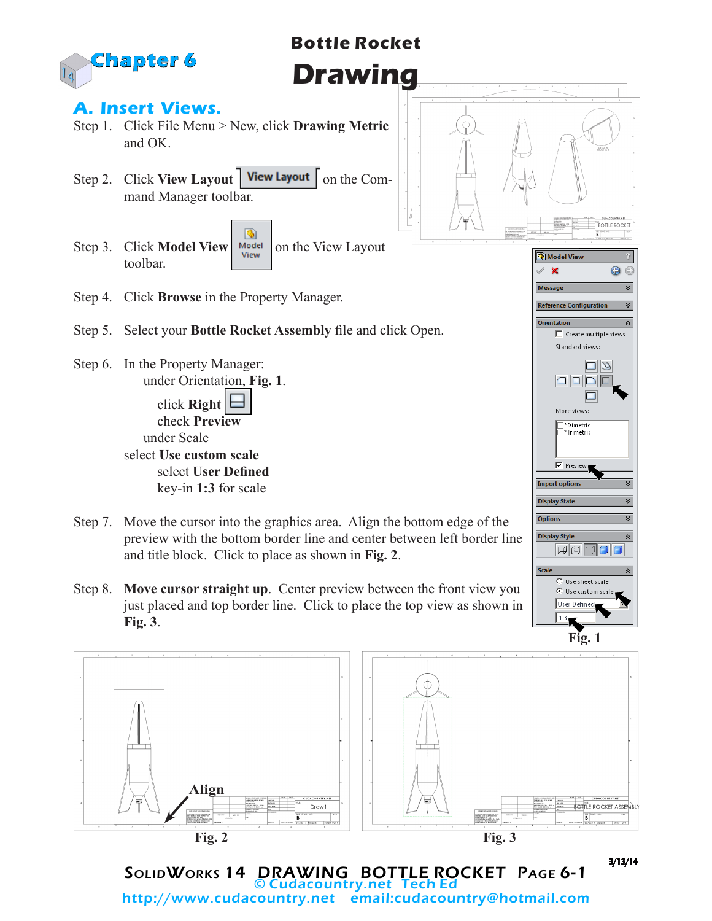

# **Bottle Rocket Drawing**

### **A. Insert Views.**

- Step 1. Click File Menu > New, click **Drawing Metric**  and OK.
- Step 2. Click **View Layout** | **View Layout** | on the Command Manager toolbar.
- G Step 3. Click **Model View Notell** on the View Layout toolbar.
- Step 4. Click **Browse** in the Property Manager.
- Step 5. Select your **Bottle Rocket Assembly** file and click Open.
- Step 6. In the Property Manager: under Orientation, **Fig. 1**. click **Right**

 check **Preview** under Scale select **Use custom scale**

select **User Defined** key-in **1:3** for scale

- Step 7. Move the cursor into the graphics area. Align the bottom edge of the preview with the bottom border line and center between left border line and title block. Click to place as shown in **Fig. 2**.
- Step 8. **Move cursor straight up**. Center preview between the front view you just placed and top border line. Click to place the top view as shown in **Fig. 3**.



SolidWorks 14 DRAWING BOTTLE ROCKET Page 6-1 © Cudacountry.net Tech Ed http://www.cudacountry.net email:cudacountry@hotmail.com

 $\Box$  $\begin{array}{c} \textbf{1} & \textbf{1} \\ \textbf{2} & \textbf{3} \end{array}$  $\Box$ More views: □\*Dimetric<br>□\*Trimetric  $\nabla$  Preview  $\overline{\mathbf{v}}$ **Import opti Display State**  $\overline{\mathbf{v}}$ **Options Display Style**  $\Box$ Scale Use sheet scale  $\bullet$  Use custom scale User Defined

 $\overset{\text{\tiny{W}}}{\text{$ **BOTTLE ROCKET** 

€  $\overline{\mathbf{x}}$ 

> $\frac{1}{2}$  $\hat{z}$

Model Vie  $\boldsymbol{\mathsf{x}}$ 

Reference Configuratio

 $\Box$  Create multiple views Standard views:

Messan

**Fig. 1**

3/13/14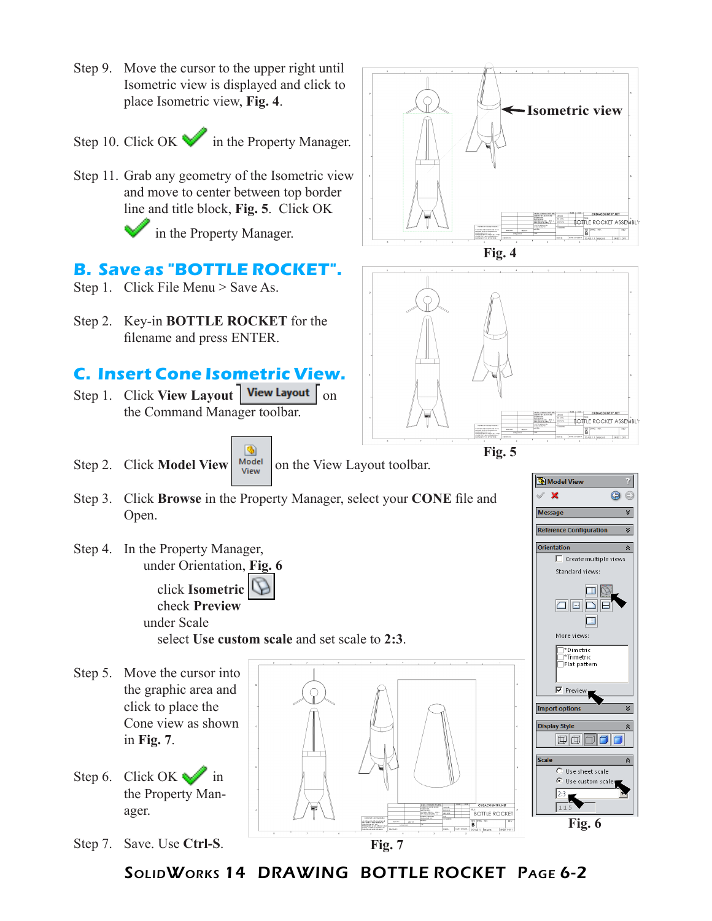

SolidWorks 14 DRAWING BOTTLE ROCKET Page 6-2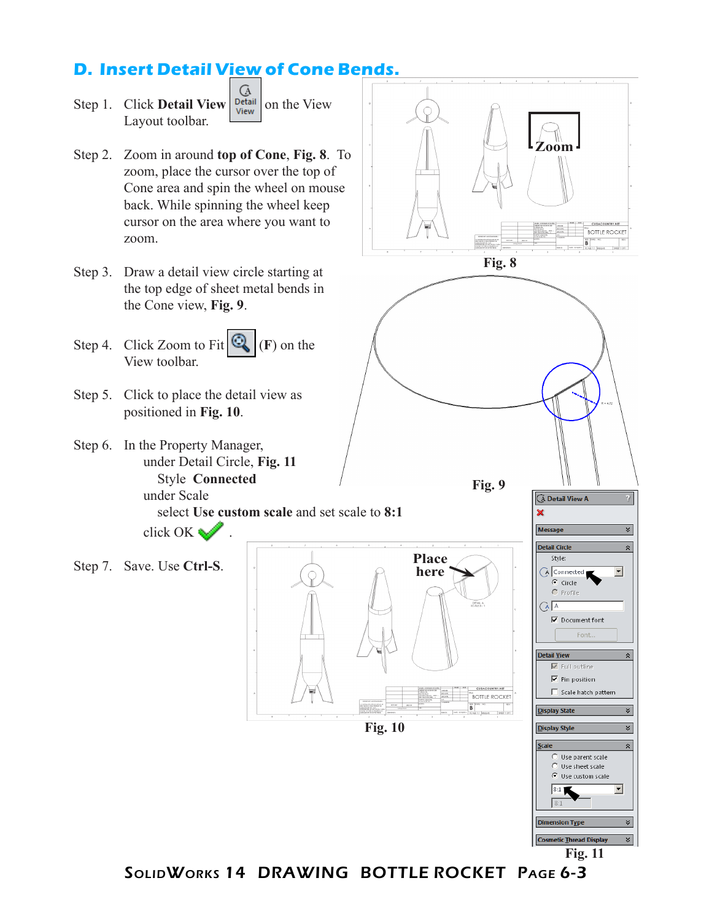## **D. Insert Detail View of Cone Bends.**



**Fig. 11**

SolidWorks 14 DRAWING BOTTLE ROCKET Page 6-3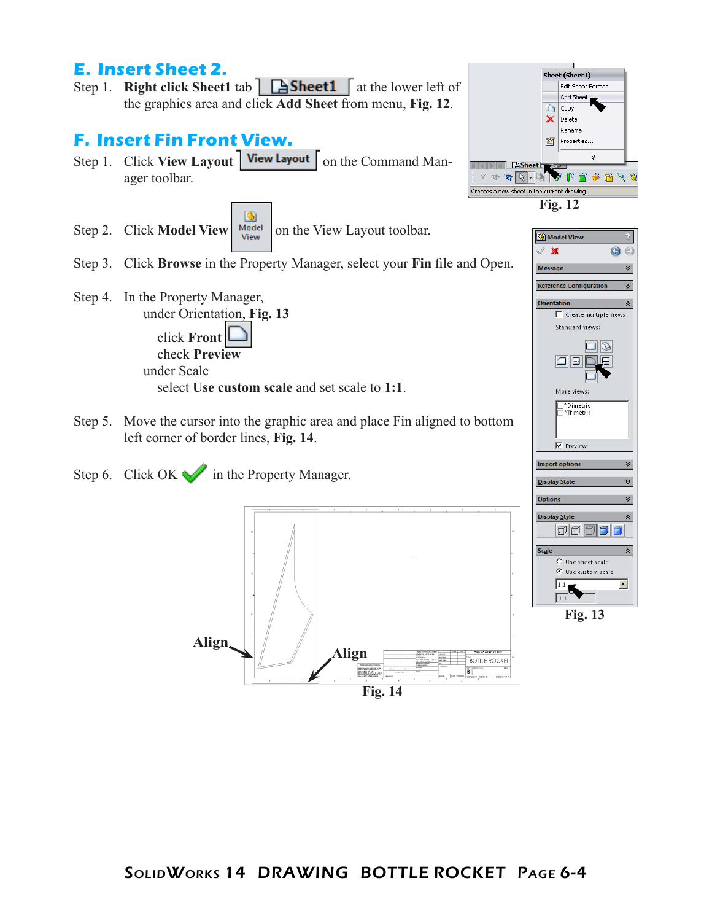

**Fig. 14**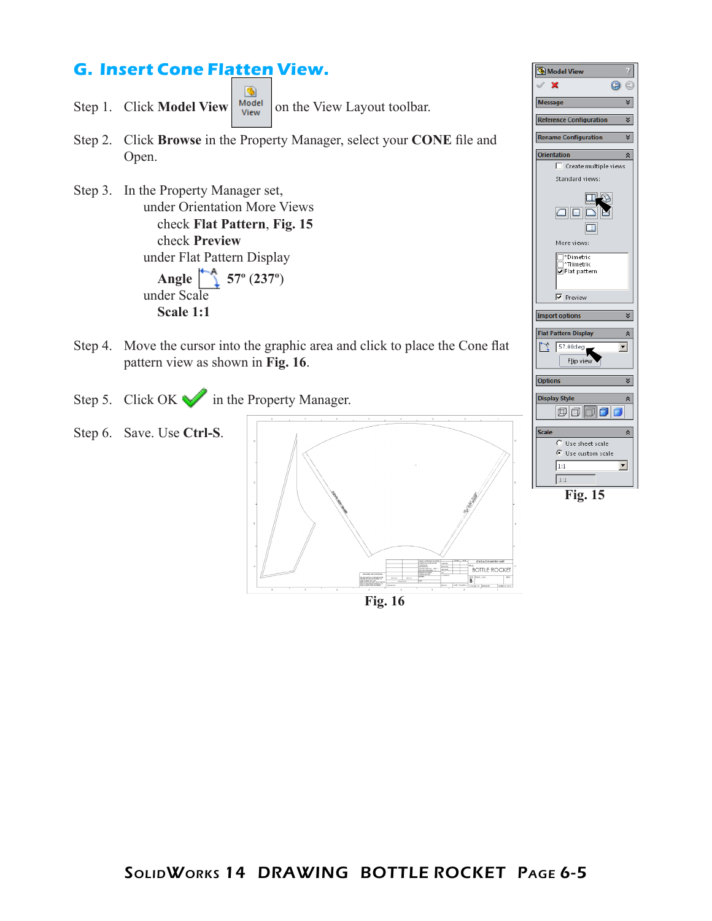## **G. Insert Cone Flatten View.**

G Step 1. Click **Model View**  $\begin{bmatrix} \text{Model} \\ \text{View} \end{bmatrix}$  on the View Layout toolbar.

- Step 2. Click **Browse** in the Property Manager, select your **CONE** file and Open.
- Step 3. In the Property Manager set, under Orientation More Views check **Flat Pattern**, **Fig. 15** check **Preview** under Flat Pattern Display  **Angle 57º** (**237º**) under Scale  **Scale 1:1**
- Step 4. Move the cursor into the graphic area and click to place the Cone flat pattern view as shown in **Fig. 16**.
- Step 5. Click OK in the Property Manager.
- Step 6. Save. Use **Ctrl-S**. **ACQUNTRY.NET** BOTTLE ROCKET **B Fig. 16**